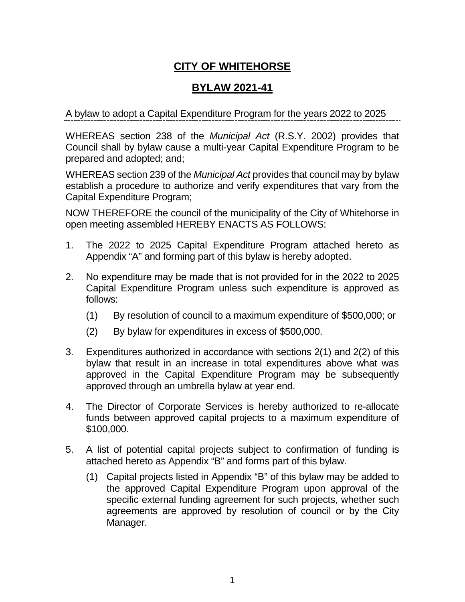# **CITY OF WHITEHORSE**

# **BYLAW 2021-41**

A bylaw to adopt a Capital Expenditure Program for the years 2022 to 2025

WHEREAS section 238 of the *Municipal Act* (R.S.Y. 2002) provides that Council shall by bylaw cause a multi-year Capital Expenditure Program to be prepared and adopted; and;

WHEREAS section 239 of the *Municipal Act* provides that council may by bylaw establish a procedure to authorize and verify expenditures that vary from the Capital Expenditure Program;

NOW THEREFORE the council of the municipality of the City of Whitehorse in open meeting assembled HEREBY ENACTS AS FOLLOWS:

- 1. The 2022 to 2025 Capital Expenditure Program attached hereto as Appendix "A" and forming part of this bylaw is hereby adopted.
- 2. No expenditure may be made that is not provided for in the 2022 to 2025 Capital Expenditure Program unless such expenditure is approved as follows:
	- (1) By resolution of council to a maximum expenditure of \$500,000; or
	- (2) By bylaw for expenditures in excess of \$500,000.
- 3. Expenditures authorized in accordance with sections 2(1) and 2(2) of this bylaw that result in an increase in total expenditures above what was approved in the Capital Expenditure Program may be subsequently approved through an umbrella bylaw at year end.
- 4. The Director of Corporate Services is hereby authorized to re-allocate funds between approved capital projects to a maximum expenditure of \$100,000.
- 5. A list of potential capital projects subject to confirmation of funding is attached hereto as Appendix "B" and forms part of this bylaw.
	- (1) Capital projects listed in Appendix "B" of this bylaw may be added to the approved Capital Expenditure Program upon approval of the specific external funding agreement for such projects, whether such agreements are approved by resolution of council or by the City Manager.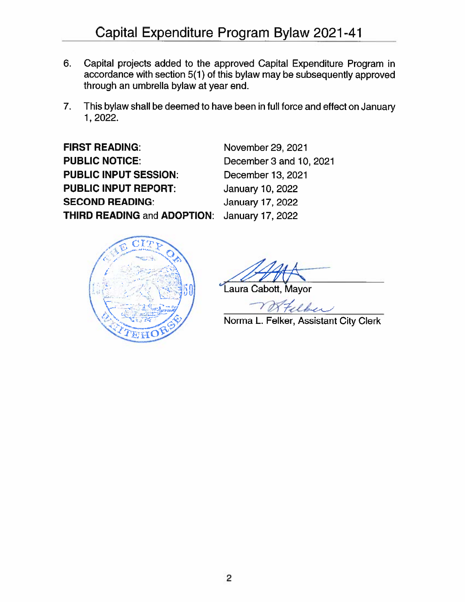- Capital projects added to the approved Capital Expenditure Program in 6. accordance with section 5(1) of this bylaw may be subsequently approved through an umbrella bylaw at year end.
- This bylaw shall be deemed to have been in full force and effect on January  $7.$ 1, 2022.

**FIRST READING: PUBLIC NOTICE: PUBLIC INPUT SESSION: PUBLIC INPUT REPORT: SECOND READING: THIRD READING and ADOPTION:** 

November 29, 2021 December 3 and 10, 2021 December 13, 2021 January 10, 2022 **January 17, 2022 January 17, 2022** 



Laura Cabott, Mayor

Norma L. Felker, Assistant City Clerk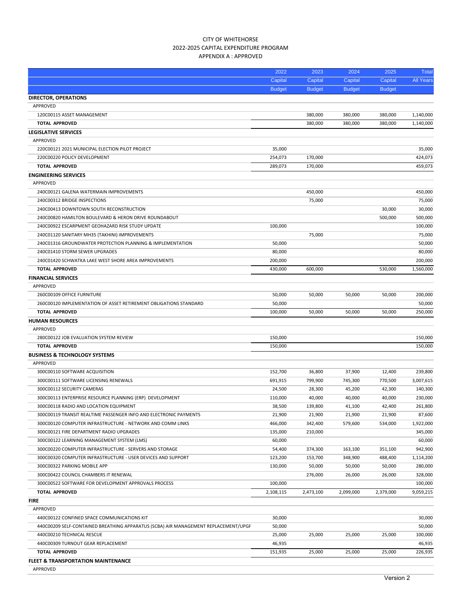| 300C00120 COMPUTER INFRASTRUCTURE - NETWORK AND COMM LINKS                          | 466,000   | 342,400   | 579,600   | 534,000   | 1,922,000 |
|-------------------------------------------------------------------------------------|-----------|-----------|-----------|-----------|-----------|
| 300C00121 FIRE DEPARTMENT RADIO UPGRADES                                            | 135,000   | 210,000   |           |           | 345,000   |
| 300C00122 LEARNING MANAGEMENT SYSTEM (LMS)                                          | 60,000    |           |           |           | 60,000    |
| 300C00220 COMPUTER INFRASTRUCTURE - SERVERS AND STORAGE                             | 54,400    | 374,300   | 163,100   | 351,100   | 942,900   |
| 300C00320 COMPUTER INFRASTRUCTURE - USER DEVICES AND SUPPORT                        | 123,200   | 153,700   | 348,900   | 488,400   | 1,114,200 |
| 300C00322 PARKING MOBILE APP                                                        | 130,000   | 50,000    | 50,000    | 50,000    | 280,000   |
| 300C00422 COUNCIL CHAMBERS IT RENEWAL                                               |           | 276,000   | 26,000    | 26,000    | 328,000   |
| 300C00522 SOFTWARE FOR DEVELOPMENT APPROVALS PROCESS                                | 100,000   |           |           |           | 100,000   |
| <b>TOTAL APPROVED</b>                                                               | 2,108,115 | 2,473,100 | 2,099,000 | 2,379,000 | 9,059,215 |
| <b>FIRE</b>                                                                         |           |           |           |           |           |
| APPROVED                                                                            |           |           |           |           |           |
| 440C00122 CONFINED SPACE COMMUNICATIONS KIT                                         | 30,000    |           |           |           | 30,000    |
| 440C00209 SELF-CONTAINED BREATHING APPARATUS (SCBA) AIR MANAGEMENT REPLACEMENT/UPGF | 50,000    |           |           |           | 50,000    |
| 440C00210 TECHNICAL RESCUE                                                          | 25,000    | 25,000    | 25,000    | 25,000    | 100,000   |
| 440C00309 TURNOUT GEAR REPLACEMENT                                                  | 46,935    |           |           |           | 46,935    |
| <b>TOTAL APPROVED</b>                                                               | 151,935   | 25,000    | 25,000    | 25,000    | 226,935   |
| <b>FLEET &amp; TRANSPORTATION MAINTENANCE</b>                                       |           |           |           |           |           |
| <b>APPROVED</b>                                                                     |           |           |           |           |           |

|                            | Capital       | Capital       | Capital       | Capital       | <b>All Years</b> |
|----------------------------|---------------|---------------|---------------|---------------|------------------|
|                            | <b>Budget</b> | <b>Budget</b> | <b>Budget</b> | <b>Budget</b> |                  |
| <b>ECTOR, OPERATIONS</b>   |               |               |               |               |                  |
| PPROVED                    |               |               |               |               |                  |
| 120C00115 ASSET MANAGEMENT |               | 380,000       | 380,000       | 380,000       | 1,140,000        |

#### CITY OF WHITEHORSE 2022‐2025 CAPITAL EXPENDITURE PROGRAM APPENDIX A : APPROVED

**DIRECTOR, OPERATIONS**

**LEGISLATIVE SERVICES** APPROVED

**ENGINEERING SERVICES**

**FINANCIAL SERVICES** APPROVED

**HUMAN RESOURCES** APPROVED

APPROVED

**BUSINESS & TECHNOLOGY SYSTEMS**

APPROVED

APPROVED

**TOTAL APPROVED** 380,000 380,000 380,000 1,140,000

220C00121 2021 MUNICIPAL ELECTION PILOT PROJECT 35,000 35,000 220C00220 POLICY DEVELOPMENT 424.073 254.073 170.000 424.073 424.073 424.073 **TOTAL APPROVED** 289,073 289,073 170,000 289,073 289,073 289,073 289,073 289,073 289,073 289,073 289,073 289,073 289,073 289,073 289,073 289,073 289,073 289,073 289,073 289,073 289,073 289,073 289,073 289,073 289,073 289,0

240C00121 GALENA WATERMAIN IMPROVEMENTS 450,000 450,000 240C00312 BRIDGE INSPECTIONS 75,000 75,000 240C00413 DOWNTOWN SOUTH RECONSTRUCTION 30,000 30,000 240C00820 HAMILTON BOULEVARD & HERON DRIVE ROUNDABOUT 500,000 500,000 240C00922 ESCARPMENT GEOHAZARD RISK STUDY UPDATE 100,000 100,000 240C01120 SANITARY MH35 (TAKHINI) IMPROVEMENTS 75,000 75,000 240C01316 GROUNDWATER PROTECTION PLANNING & IMPLEMENTATION 50,000 50000 50,000 50,000 50,000 50,000 240C01410 STORM SEWER UPGRADES 80,000 80,000 80,000 80,000 80,000 80,000 80,000 80,000 80,000 80,000 80,000 80,000 80,000 80,000 80,000 80,000 80,000 80,000 80,000 80,000 80,000 80,000 80,000 80,000 80,000 80,000 80,000 80 240C01420 SCHWATKA LAKE WEST SHORE AREA IMPROVEMENTS 200,000 200,000 **TOTAL APPROVED** 430,000 600,000 530,000 1,560,000

260C00109 OFFICE FURNITURE 50,000 50,000 50,000 50,000 200,000 260C00120 IMPLEMENTATION OF ASSET RETIREMENT OBLIGATIONS STANDARD 50,000 50000 50,000 50,000 50,000 50,000 50,000 **TOTAL APPROVED** 100,000 50,000 50,000 50,000 250,000

280C00122 JOB EVALUATION SYSTEM REVIEW 150,000 150,000 **TOTAL** APPROVED 150,000 150,000 150,000 150,000 150,000 150,000 150,000 150,000 150,000 150,000 150,000 150,000 150,000 150,000 150,000 150,000 150,000 150,000 150,000 150,000 150,000 150,000 150,000 150,000 150,000 150,0

300C00110 SOFTWARE ACQUISITION 152,700 36,800 37,900 12,400 239,800 300C00111 SOFTWARE LICENSING RENEWALS 691,915 799,900 745,300 770,500 3,007,615 300C00112 SECURITY CAMERAS 24,500 28,300 45,200 42,300 140,300 300C00113 ENTERPRISE RESOURCE PLANNING (ERP) DEVELOPMENT 110,000 40,000 40,000 40,000 230,000 300C00118 RADIO AND LOCATION EQUIPMENT 38,500 139,800 41,100 42,400 261,800 300C00119 TRANSIT REALTIME PASSENGER INFO AND ELECTRONIC PAYMENTS 21,900 21,900 21,900 21,900 87,600

2022 2023 2024 2025 Total Capital Capital Capital Capital Capital All Year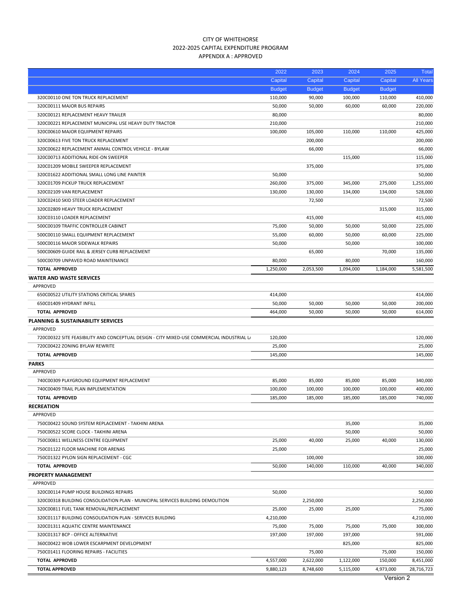# CITY OF WHITEHORSE 2022‐2025 CAPITAL EXPENDITURE PROGRAM APPENDIX A : APPROVED

|                                                                                            | 2022          | 2023          | 2024          | 2025          | <b>Total</b>     |
|--------------------------------------------------------------------------------------------|---------------|---------------|---------------|---------------|------------------|
|                                                                                            | Capital       | Capital       | Capital       | Capital       | <b>All Years</b> |
|                                                                                            | <b>Budget</b> | <b>Budget</b> | <b>Budget</b> | <b>Budget</b> |                  |
| 320C00110 ONE TON TRUCK REPLACEMENT                                                        | 110,000       | 90,000        | 100,000       | 110,000       | 410,000          |
| 320C00111 MAJOR BUS REPAIRS                                                                | 50,000        | 50,000        | 60,000        | 60,000        | 220,000          |
| 320C00121 REPLACEMENT HEAVY TRAILER                                                        | 80,000        |               |               |               | 80,000           |
| 320C00221 REPLACEMENT MUNICIPAL USE HEAVY DUTY TRACTOR                                     | 210,000       |               |               |               | 210,000          |
| 320C00610 MAJOR EQUIPMENT REPAIRS                                                          | 100,000       | 105,000       | 110,000       | 110,000       | 425,000          |
| 320C00613 FIVE TON TRUCK REPLACEMENT                                                       |               | 200,000       |               |               | 200,000          |
| 320C00622 REPLACEMENT ANIMAL CONTROL VEHICLE - BYLAW                                       |               | 66,000        |               |               | 66,000           |
| 320C00713 ADDITIONAL RIDE-ON SWEEPER                                                       |               |               | 115,000       |               | 115,000          |
| 320C01209 MOBILE SWEEPER REPLACEMENT                                                       |               | 375,000       |               |               | 375,000          |
| 320C01622 ADDITIONAL SMALL LONG LINE PAINTER                                               | 50,000        |               |               |               | 50,000           |
| 320C01709 PICKUP TRUCK REPLACEMENT                                                         | 260,000       | 375,000       | 345,000       | 275,000       | 1,255,000        |
| 320C02109 VAN REPLACEMENT                                                                  | 130,000       | 130,000       | 134,000       | 134,000       | 528,000          |
| 320C02410 SKID STEER LOADER REPLACEMENT                                                    |               | 72,500        |               |               | 72,500           |
| 320C02809 HEAVY TRUCK REPLACEMENT                                                          |               |               |               | 315,000       | 315,000          |
| 320C03110 LOADER REPLACEMENT                                                               |               | 415,000       |               |               | 415,000          |
| 500C00109 TRAFFIC CONTROLLER CABINET                                                       | 75,000        | 50,000        | 50,000        | 50,000        | 225,000          |
| 500C00110 SMALL EQUIPMENT REPLACEMENT                                                      | 55,000        | 60,000        | 50,000        | 60,000        | 225,000          |
| 500C00116 MAJOR SIDEWALK REPAIRS                                                           | 50,000        |               | 50,000        |               | 100,000          |
| 500C00609 GUIDE RAIL & JERSEY CURB REPLACEMENT                                             |               | 65,000        |               | 70,000        | 135,000          |
| 500C00709 UNPAVED ROAD MAINTENANCE                                                         | 80,000        |               | 80,000        |               | 160,000          |
| <b>TOTAL APPROVED</b>                                                                      | 1,250,000     | 2,053,500     | 1,094,000     | 1,184,000     | 5,581,500        |
| <b>WATER AND WASTE SERVICES</b>                                                            |               |               |               |               |                  |
| APPROVED                                                                                   |               |               |               |               |                  |
| 650C00522 UTILITY STATIONS CRITICAL SPARES                                                 | 414,000       |               |               |               | 414,000          |
| 650C01409 HYDRANT INFILL                                                                   | 50,000        | 50,000        | 50,000        | 50,000        | 200,000          |
| <b>TOTAL APPROVED</b>                                                                      | 464,000       | 50,000        | 50,000        | 50,000        | 614,000          |
| PLANNING & SUSTAINABILITY SERVICES                                                         |               |               |               |               |                  |
| APPROVED                                                                                   |               |               |               |               |                  |
| 720C00322 SITE FEASIBILITY AND CONCEPTUAL DESIGN - CITY MIXED-USE COMMERCIAL INDUSTRIAL LA | 120,000       |               |               |               | 120,000          |
| 720C00422 ZONING BYLAW REWRITE                                                             | 25,000        |               |               |               | 25,000           |
| <b>TOTAL APPROVED</b>                                                                      | 145,000       |               |               |               | 145,000          |
| <b>PARKS</b>                                                                               |               |               |               |               |                  |
| APPROVED                                                                                   |               |               |               |               |                  |
| 740C00309 PLAYGROUND EQUIPMENT REPLACEMENT                                                 | 85,000        | 85,000        | 85,000        | 85,000        | 340,000          |
| 740C00409 TRAIL PLAN IMPLEMENTATION                                                        | 100,000       | 100,000       | 100,000       | 100,000       | 400,000          |
| <b>TOTAL APPROVED</b>                                                                      | 185,000       | 185,000       | 185,000       | 185,000       | 740,000          |
| <b>RECREATION</b>                                                                          |               |               |               |               |                  |
| APPROVED                                                                                   |               |               |               |               |                  |
| 750C00422 SOUND SYSTEM REPLACEMENT - TAKHINI ARENA                                         |               |               | 35,000        |               | 35,000           |
| 750C00522 SCORE CLOCK - TAKHINI ARENA                                                      |               |               | 50,000        |               | 50,000           |
| 750C00811 WELLNESS CENTRE EQUIPMENT                                                        | 25,000        | 40,000        | 25,000        | 40,000        | 130,000          |
| 750C01122 FLOOR MACHINE FOR ARENAS                                                         | 25,000        |               |               |               | 25,000           |
| 750C01322 PYLON SIGN REPLACEMENT - CGC                                                     |               | 100,000       |               |               | 100,000          |
|                                                                                            |               |               |               |               |                  |
| <b>TOTAL APPROVED</b>                                                                      | 50,000        | 140,000       | 110,000       | 40,000        | 340,000          |
| <b>PROPERTY MANAGEMENT</b>                                                                 |               |               |               |               |                  |
| APPROVED                                                                                   |               |               |               |               |                  |
| 320C00114 PUMP HOUSE BUILDINGS REPAIRS                                                     | 50,000        |               |               |               | 50,000           |
| 320C00318 BUILDING CONSOLIDATION PLAN - MUNICIPAL SERVICES BUILDING DEMOLITION             |               | 2,250,000     |               |               | 2,250,000        |
| 320C00811 FUEL TANK REMOVAL/REPLACEMENT                                                    | 25,000        | 25,000        | 25,000        |               | 75,000           |
| 320C01117 BUILDING CONSOLIDATION PLAN - SERVICES BUILDING                                  | 4,210,000     |               |               |               | 4,210,000        |
| 320C01311 AQUATIC CENTRE MAINTENANCE                                                       | 75,000        | 75,000        | 75,000        | 75,000        | 300,000          |
| 320C01317 BCP - OFFICE ALTERNATIVE                                                         | 197,000       | 197,000       | 197,000       |               | 591,000          |
| 360C00422 WOB LOWER ESCARPMENT DEVELOPMENT                                                 |               |               | 825,000       |               | 825,000          |
| 750C01411 FLOORING REPAIRS - FACILITIES                                                    |               | 75,000        |               | 75,000        | 150,000          |
| <b>TOTAL APPROVED</b>                                                                      | 4,557,000     | 2,622,000     | 1,122,000     | 150,000       | 8,451,000        |
| <b>TOTAL APPROVED</b>                                                                      | 9,880,123     | 8,748,600     | 5,115,000     | 4,973,000     | 28,716,723       |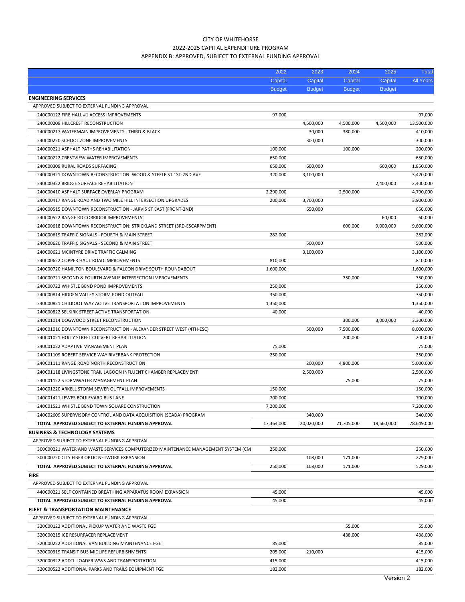# CITY OF WHITEHORSE 2022‐2025 CAPITAL EXPENDITURE PROGRAM APPENDIX B: APPROVED, SUBJECT TO EXTERNAL FUNDING APPROVAL

|                                                                                   | 2022          | 2023          | 2024          | 2025          | <b>Total</b>     |
|-----------------------------------------------------------------------------------|---------------|---------------|---------------|---------------|------------------|
|                                                                                   | Capital       | Capital       | Capital       | Capital       | <b>All Years</b> |
|                                                                                   | <b>Budget</b> | <b>Budget</b> | <b>Budget</b> | <b>Budget</b> |                  |
| <b>ENGINEERING SERVICES</b>                                                       |               |               |               |               |                  |
| APPROVED SUBJECT TO EXTERNAL FUNDING APPROVAL                                     |               |               |               |               |                  |
| 240C00122 FIRE HALL #1 ACCESS IMPROVEMENTS                                        | 97,000        |               |               |               | 97,000           |
| 240C00209 HILLCREST RECONSTRUCTION                                                |               | 4,500,000     | 4,500,000     | 4,500,000     | 13,500,000       |
| 240C00217 WATERMAIN IMPROVEMENTS - THIRD & BLACK                                  |               | 30,000        | 380,000       |               | 410,000          |
| 240C00220 SCHOOL ZONE IMPROVEMENTS                                                |               | 300,000       |               |               | 300,000          |
| 240C00221 ASPHALT PATHS REHABILITATION                                            | 100,000       |               | 100,000       |               | 200,000          |
| 240C00222 CRESTVIEW WATER IMPROVEMENTS                                            | 650,000       |               |               |               | 650,000          |
|                                                                                   |               |               |               |               |                  |
| 240C00309 RURAL ROADS SURFACING                                                   | 650,000       | 600,000       |               | 600,000       | 1,850,000        |
| 240C00321 DOWNTOWN RECONSTRUCTION: WOOD & STEELE ST 1ST-2ND AVE                   | 320,000       | 3,100,000     |               |               | 3,420,000        |
| 240C00322 BRIDGE SURFACE REHABILITATION                                           |               |               |               | 2,400,000     | 2,400,000        |
| 240C00410 ASPHALT SURFACE OVERLAY PROGRAM                                         | 2,290,000     |               | 2,500,000     |               | 4,790,000        |
| 240C00417 RANGE ROAD AND TWO MILE HILL INTERSECTION UPGRADES                      | 200,000       | 3,700,000     |               |               | 3,900,000        |
| 240C00515 DOWNTOWN RECONSTRUCTION - JARVIS ST EAST (FRONT-2ND)                    |               | 650,000       |               |               | 650,000          |
| 240C00522 RANGE RD CORRIDOR IMPROVEMENTS                                          |               |               |               | 60,000        | 60,000           |
| 240C00618 DOWNTOWN RECONSTRUCTION: STRICKLAND STREET (3RD-ESCARPMENT)             |               |               | 600,000       | 9,000,000     | 9,600,000        |
| 240C00619 TRAFFIC SIGNALS - FOURTH & MAIN STREET                                  | 282,000       |               |               |               | 282,000          |
| 240C00620 TRAFFIC SIGNALS - SECOND & MAIN STREET                                  |               | 500,000       |               |               | 500,000          |
| 240C00621 MCINTYRE DRIVE TRAFFIC CALMING                                          |               | 3,100,000     |               |               | 3,100,000        |
| 240C00622 COPPER HAUL ROAD IMPROVEMENTS                                           | 810,000       |               |               |               | 810,000          |
| 240C00720 HAMILTON BOULEVARD & FALCON DRIVE SOUTH ROUNDABOUT                      | 1,600,000     |               |               |               | 1,600,000        |
| 240C00721 SECOND & FOURTH AVENUE INTERSECTION IMPROVEMENTS                        |               |               | 750,000       |               | 750,000          |
| 240C00722 WHISTLE BEND POND IMPROVEMENTS                                          | 250,000       |               |               |               | 250,000          |
| 240C00814 HIDDEN VALLEY STORM POND OUTFALL                                        | 350,000       |               |               |               | 350,000          |
| 240C00821 CHILKOOT WAY ACTIVE TRANSPORTATION IMPROVEMENTS                         | 1,350,000     |               |               |               | 1,350,000        |
| 240C00822 SELKIRK STREET ACTIVE TRANSPORTATION                                    | 40,000        |               |               |               | 40,000           |
| 240C01014 DOGWOOD STREET RECONSTRUCTION                                           |               |               | 300,000       | 3,000,000     | 3,300,000        |
|                                                                                   |               |               |               |               |                  |
| 240C01016 DOWNTOWN RECONSTRUCTION - ALEXANDER STREET WEST (4TH-ESC)               |               | 500,000       | 7,500,000     |               | 8,000,000        |
| 240C01021 HOLLY STREET CULVERT REHABILITATION                                     |               |               | 200,000       |               | 200,000          |
| 240C01022 ADAPTIVE MANAGEMENT PLAN                                                | 75,000        |               |               |               | 75,000           |
| 240C01109 ROBERT SERVICE WAY RIVERBANK PROTECTION                                 | 250,000       |               |               |               | 250,000          |
| 240C01111 RANGE ROAD NORTH RECONSTRUCTION                                         |               | 200,000       | 4,800,000     |               | 5,000,000        |
| 240C01118 LIVINGSTONE TRAIL LAGOON INFLUENT CHAMBER REPLACEMENT                   |               | 2,500,000     |               |               | 2,500,000        |
| 240C01122 STORMWATER MANAGEMENT PLAN                                              |               |               | 75,000        |               | 75,000           |
| 240C01220 ARKELL STORM SEWER OUTFALL IMPROVEMENTS                                 | 150,000       |               |               |               | 150,000          |
| 240C01421 LEWES BOULEVARD BUS LANE                                                | 700,000       |               |               |               | 700,000          |
| 240C01521 WHISTLE BEND TOWN SQUARE CONSTRUCTION                                   | 7,200,000     |               |               |               | 7,200,000        |
| 240C02609 SUPERVISORY CONTROL AND DATA ACQUISITION (SCADA) PROGRAM                |               | 340,000       |               |               | 340,000          |
| TOTAL APPROVED SUBJECT TO EXTERNAL FUNDING APPROVAL                               | 17,364,000    | 20,020,000    | 21,705,000    | 19,560,000    | 78,649,000       |
| <b>BUSINESS &amp; TECHNOLOGY SYSTEMS</b>                                          |               |               |               |               |                  |
| APPROVED SUBJECT TO EXTERNAL FUNDING APPROVAL                                     |               |               |               |               |                  |
| 300C00221 WATER AND WASTE SERVICES COMPUTERIZED MAINTENANCE MANAGEMENT SYSTEM (CM | 250,000       |               |               |               | 250,000          |
| 300C00720 CITY FIBER OPTIC NETWORK EXPANSION                                      |               | 108,000       | 171,000       |               | 279,000          |
| TOTAL APPROVED SUBJECT TO EXTERNAL FUNDING APPROVAL                               | 250,000       | 108,000       | 171,000       |               | 529,000          |
| <b>FIRE</b>                                                                       |               |               |               |               |                  |
| APPROVED SUBJECT TO EXTERNAL FUNDING APPROVAL                                     |               |               |               |               |                  |
| 440C00221 SELF CONTAINED BREATHING APPARATUS ROOM EXPANSION                       | 45,000        |               |               |               | 45,000           |
|                                                                                   |               |               |               |               | 45,000           |
| TOTAL APPROVED SUBJECT TO EXTERNAL FUNDING APPROVAL                               | 45,000        |               |               |               |                  |
| <b>FLEET &amp; TRANSPORTATION MAINTENANCE</b>                                     |               |               |               |               |                  |
| APPROVED SUBJECT TO EXTERNAL FUNDING APPROVAL                                     |               |               |               |               |                  |
| 320C00122 ADDITIONAL PICKUP WATER AND WASTE FGE                                   |               |               | 55,000        |               | 55,000           |
| 320C00215 ICE RESURFACER REPLACEMENT                                              |               |               | 438,000       |               | 438,000          |
| 320C00222 ADDITIONAL VAN BUILDING MAINTENANCE FGE                                 | 85,000        |               |               |               | 85,000           |
| 320C00319 TRANSIT BUS MIDLIFE REFURBISHMENTS                                      | 205,000       | 210,000       |               |               | 415,000          |
| 320C00322 ADDTL LOADER WWS AND TRANSPORTATION                                     | 415,000       |               |               |               | 415,000          |
| 320C00522 ADDITIONAL PARKS AND TRAILS EQUIPMENT FGE                               | 182,000       |               |               |               | 182,000          |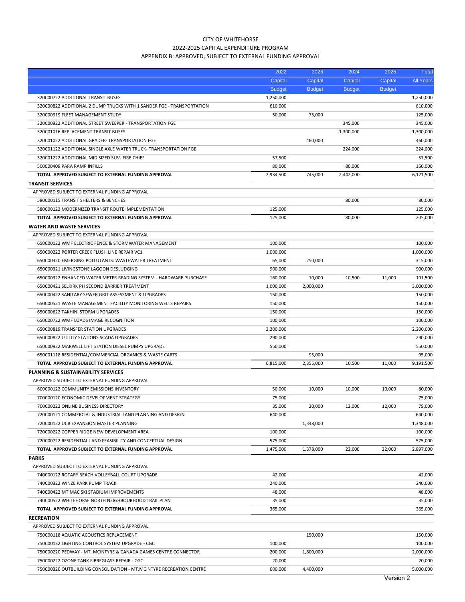# CITY OF WHITEHORSE 2022‐2025 CAPITAL EXPENDITURE PROGRAM APPENDIX B: APPROVED, SUBJECT TO EXTERNAL FUNDING APPROVAL

| Capital<br>Capital<br>Capital<br>Capital<br><b>All Years</b><br><b>Budget</b><br><b>Budget</b><br><b>Budget</b><br><b>Budget</b><br>1,250,000<br>1,250,000<br>320C00722 ADDITIONAL TRANSIT BUSES<br>610,000<br>610,000<br>320C00822 ADDITIONAL 2 DUMP TRUCKS WITH 1 SANDER FGE - TRANSPORTATION<br>50,000<br>75,000<br>125,000<br>320C00919 FLEET MANAGEMENT STUDY<br>320C00922 ADDITIONAL STREET SWEEPER - TRANSPORTATION FGE<br>345,000<br>345,000<br>320C01016 REPLACEMENT TRANSIT BUSES<br>1,300,000<br>1,300,000<br>320C01022 ADDITIONAL GRADER-TRANSPORTATION FGE<br>460,000<br>460,000<br>224,000<br>224,000<br>320C01122 ADDITIONAL SINGLE AXLE WATER TRUCK- TRANSPORTATION FGE<br>57,500<br>57,500<br>320C01222 ADDITIONAL MID SIZED SUV- FIRE CHIEF<br>80,000<br>160,000<br>500C00409 PARA RAMP INFILLS<br>80,000<br>TOTAL APPROVED SUBJECT TO EXTERNAL FUNDING APPROVAL<br>2,934,500<br>745,000<br>2,442,000<br>6,121,500<br><b>TRANSIT SERVICES</b><br>APPROVED SUBJECT TO EXTERNAL FUNDING APPROVAL<br>580C00115 TRANSIT SHELTERS & BENCHES<br>80,000<br>80,000<br>580C00122 MODERNIZED TRANSIT ROUTE IMPLEMENTATION<br>125,000<br>125,000<br>125,000<br>80,000<br>205,000<br>TOTAL APPROVED SUBJECT TO EXTERNAL FUNDING APPROVAL<br><b>WATER AND WASTE SERVICES</b><br>APPROVED SUBJECT TO EXTERNAL FUNDING APPROVAL<br>650C00122 WMF ELECTRIC FENCE & STORMWATER MANAGEMENT<br>100,000<br>100,000<br>650C00222 PORTER CREEK FLUSH LINE REPAIR VC1<br>1,000,000<br>1,000,000<br>650C00320 EMERGING POLLUTANTS: WASTEWATER TREATMENT<br>65,000<br>250,000<br>315,000<br>900,000<br>650C00321 LIVINGSTONE LAGOON DESLUDGING<br>900,000<br>650C00322 ENHANCED WATER METER READING SYSTEM - HARDWARE PURCHASE<br>160,000<br>10,000<br>10,500<br>11,000<br>191,500<br>3,000,000<br>650C00421 SELKIRK PH SECOND BARRIER TREATMENT<br>1,000,000<br>2,000,000<br>650C00422 SANITARY SEWER GRIT ASSESSMENT & UPGRADES<br>150,000<br>150,000<br>150,000<br>150,000<br>650C00521 WASTE MANAGEMENT FACILITY MONITORING WELLS REPAIRS<br>150,000<br>650C00622 TAKHINI STORM UPGRADES<br>150,000<br>100,000<br>650C00722 WMF LOADS IMAGE RECOGNITION<br>100,000<br>2,200,000<br>650C00819 TRANSFER STATION UPGRADES<br>2,200,000<br>290,000<br>290,000<br>650C00822 UTILITY STATIONS SCADA UPGRADES<br>650C00922 MARWELL LIFT STATION DIESEL PUMPS UPGRADE<br>550,000<br>550,000<br>95,000<br>650C01118 RESIDENTIAL/COMMERCIAL ORGANICS & WASTE CARTS<br>95,000<br>2,355,000<br>10,500<br>11,000<br>9,191,500<br>TOTAL APPROVED SUBJECT TO EXTERNAL FUNDING APPROVAL<br>6,815,000<br><b>PLANNING &amp; SUSTAINABILITY SERVICES</b><br>APPROVED SUBJECT TO EXTERNAL FUNDING APPROVAL<br>50,000<br>600C00122 COMMUNITY EMISSIONS INVENTORY<br>10,000<br>10,000<br>10,000<br>80,000<br>75,000<br>75,000<br>700C00120 ECONOMIC DEVELOPMENT STRATEGY<br>700C00222 ONLINE BUSINESS DIRECTORY<br>35,000<br>20,000<br>79,000<br>12,000<br>12,000<br>640,000<br>720C00121 COMMERCIAL & INDUSTRIAL LAND PLANNING AND DESIGN<br>640,000<br>720C00122 UCB EXPANSION MASTER PLANNING<br>1,348,000<br>1,348,000<br>720C00222 COPPER RIDGE NEW DEVELOPMENT AREA<br>100,000<br>100,000<br>720C00722 RESIDENTIAL LAND FEASIBILITY AND CONCEPTUAL DESIGN<br>575,000<br>575,000<br>1,378,000<br>22,000<br>22,000<br>2,897,000<br>TOTAL APPROVED SUBJECT TO EXTERNAL FUNDING APPROVAL<br>1,475,000<br><b>PARKS</b><br>APPROVED SUBJECT TO EXTERNAL FUNDING APPROVAL<br>740C00122 ROTARY BEACH VOLLEYBALL COURT UPGRADE<br>42,000<br>42,000<br>240,000<br>740C00322 WINZE PARK PUMP TRACK<br>240,000<br>740C00422 MT MAC SKI STADIUM IMPROVEMENTS<br>48,000<br>48,000<br>35,000<br>740C00522 WHITEHORSE NORTH NEIGHBOURHOOD TRAIL PLAN<br>35,000<br>TOTAL APPROVED SUBJECT TO EXTERNAL FUNDING APPROVAL<br>365,000<br>365,000<br><b>RECREATION</b><br>APPROVED SUBJECT TO EXTERNAL FUNDING APPROVAL<br>750C00118 AQUATIC ACOUSTICS REPLACEMENT<br>150,000<br>150,000<br>100,000<br>100,000<br>750C00122 LIGHTING CONTROL SYSTEM UPGRADE - CGC<br>750C00220 PEDWAY - MT. MCINTYRE & CANADA GAMES CENTRE CONNECTOR<br>200,000<br>1,800,000<br>2,000,000<br>20,000<br>20,000<br>750C00222 OZONE TANK FIBREGLASS REPAIR - CGC<br>600,000<br>750C00320 OUTBUILDING CONSOLIDATION - MT.MCINTYRE RECREATION CENTRE<br>4,400,000<br>5,000,000 | 2022 | 2023 | 2024 | 2025 | Total |
|------------------------------------------------------------------------------------------------------------------------------------------------------------------------------------------------------------------------------------------------------------------------------------------------------------------------------------------------------------------------------------------------------------------------------------------------------------------------------------------------------------------------------------------------------------------------------------------------------------------------------------------------------------------------------------------------------------------------------------------------------------------------------------------------------------------------------------------------------------------------------------------------------------------------------------------------------------------------------------------------------------------------------------------------------------------------------------------------------------------------------------------------------------------------------------------------------------------------------------------------------------------------------------------------------------------------------------------------------------------------------------------------------------------------------------------------------------------------------------------------------------------------------------------------------------------------------------------------------------------------------------------------------------------------------------------------------------------------------------------------------------------------------------------------------------------------------------------------------------------------------------------------------------------------------------------------------------------------------------------------------------------------------------------------------------------------------------------------------------------------------------------------------------------------------------------------------------------------------------------------------------------------------------------------------------------------------------------------------------------------------------------------------------------------------------------------------------------------------------------------------------------------------------------------------------------------------------------------------------------------------------------------------------------------------------------------------------------------------------------------------------------------------------------------------------------------------------------------------------------------------------------------------------------------------------------------------------------------------------------------------------------------------------------------------------------------------------------------------------------------------------------------------------------------------------------------------------------------------------------------------------------------------------------------------------------------------------------------------------------------------------------------------------------------------------------------------------------------------------------------------------------------------------------------------------------------------------------------------------------------------------------------------------------------------------------------------------------------------------------------------------------------------------------------------------------------------------------------------------------------------------------------------------------------------------------------------------------------------------------------------------------------------------------------------------------------------------------------------------------------------------------------------------------------------------------------------------------------------------------------------------------------------------------------------------------|------|------|------|------|-------|
|                                                                                                                                                                                                                                                                                                                                                                                                                                                                                                                                                                                                                                                                                                                                                                                                                                                                                                                                                                                                                                                                                                                                                                                                                                                                                                                                                                                                                                                                                                                                                                                                                                                                                                                                                                                                                                                                                                                                                                                                                                                                                                                                                                                                                                                                                                                                                                                                                                                                                                                                                                                                                                                                                                                                                                                                                                                                                                                                                                                                                                                                                                                                                                                                                                                                                                                                                                                                                                                                                                                                                                                                                                                                                                                                                                                                                                                                                                                                                                                                                                                                                                                                                                                                                                                                                                                  |      |      |      |      |       |
|                                                                                                                                                                                                                                                                                                                                                                                                                                                                                                                                                                                                                                                                                                                                                                                                                                                                                                                                                                                                                                                                                                                                                                                                                                                                                                                                                                                                                                                                                                                                                                                                                                                                                                                                                                                                                                                                                                                                                                                                                                                                                                                                                                                                                                                                                                                                                                                                                                                                                                                                                                                                                                                                                                                                                                                                                                                                                                                                                                                                                                                                                                                                                                                                                                                                                                                                                                                                                                                                                                                                                                                                                                                                                                                                                                                                                                                                                                                                                                                                                                                                                                                                                                                                                                                                                                                  |      |      |      |      |       |
|                                                                                                                                                                                                                                                                                                                                                                                                                                                                                                                                                                                                                                                                                                                                                                                                                                                                                                                                                                                                                                                                                                                                                                                                                                                                                                                                                                                                                                                                                                                                                                                                                                                                                                                                                                                                                                                                                                                                                                                                                                                                                                                                                                                                                                                                                                                                                                                                                                                                                                                                                                                                                                                                                                                                                                                                                                                                                                                                                                                                                                                                                                                                                                                                                                                                                                                                                                                                                                                                                                                                                                                                                                                                                                                                                                                                                                                                                                                                                                                                                                                                                                                                                                                                                                                                                                                  |      |      |      |      |       |
|                                                                                                                                                                                                                                                                                                                                                                                                                                                                                                                                                                                                                                                                                                                                                                                                                                                                                                                                                                                                                                                                                                                                                                                                                                                                                                                                                                                                                                                                                                                                                                                                                                                                                                                                                                                                                                                                                                                                                                                                                                                                                                                                                                                                                                                                                                                                                                                                                                                                                                                                                                                                                                                                                                                                                                                                                                                                                                                                                                                                                                                                                                                                                                                                                                                                                                                                                                                                                                                                                                                                                                                                                                                                                                                                                                                                                                                                                                                                                                                                                                                                                                                                                                                                                                                                                                                  |      |      |      |      |       |
|                                                                                                                                                                                                                                                                                                                                                                                                                                                                                                                                                                                                                                                                                                                                                                                                                                                                                                                                                                                                                                                                                                                                                                                                                                                                                                                                                                                                                                                                                                                                                                                                                                                                                                                                                                                                                                                                                                                                                                                                                                                                                                                                                                                                                                                                                                                                                                                                                                                                                                                                                                                                                                                                                                                                                                                                                                                                                                                                                                                                                                                                                                                                                                                                                                                                                                                                                                                                                                                                                                                                                                                                                                                                                                                                                                                                                                                                                                                                                                                                                                                                                                                                                                                                                                                                                                                  |      |      |      |      |       |
|                                                                                                                                                                                                                                                                                                                                                                                                                                                                                                                                                                                                                                                                                                                                                                                                                                                                                                                                                                                                                                                                                                                                                                                                                                                                                                                                                                                                                                                                                                                                                                                                                                                                                                                                                                                                                                                                                                                                                                                                                                                                                                                                                                                                                                                                                                                                                                                                                                                                                                                                                                                                                                                                                                                                                                                                                                                                                                                                                                                                                                                                                                                                                                                                                                                                                                                                                                                                                                                                                                                                                                                                                                                                                                                                                                                                                                                                                                                                                                                                                                                                                                                                                                                                                                                                                                                  |      |      |      |      |       |
|                                                                                                                                                                                                                                                                                                                                                                                                                                                                                                                                                                                                                                                                                                                                                                                                                                                                                                                                                                                                                                                                                                                                                                                                                                                                                                                                                                                                                                                                                                                                                                                                                                                                                                                                                                                                                                                                                                                                                                                                                                                                                                                                                                                                                                                                                                                                                                                                                                                                                                                                                                                                                                                                                                                                                                                                                                                                                                                                                                                                                                                                                                                                                                                                                                                                                                                                                                                                                                                                                                                                                                                                                                                                                                                                                                                                                                                                                                                                                                                                                                                                                                                                                                                                                                                                                                                  |      |      |      |      |       |
|                                                                                                                                                                                                                                                                                                                                                                                                                                                                                                                                                                                                                                                                                                                                                                                                                                                                                                                                                                                                                                                                                                                                                                                                                                                                                                                                                                                                                                                                                                                                                                                                                                                                                                                                                                                                                                                                                                                                                                                                                                                                                                                                                                                                                                                                                                                                                                                                                                                                                                                                                                                                                                                                                                                                                                                                                                                                                                                                                                                                                                                                                                                                                                                                                                                                                                                                                                                                                                                                                                                                                                                                                                                                                                                                                                                                                                                                                                                                                                                                                                                                                                                                                                                                                                                                                                                  |      |      |      |      |       |
|                                                                                                                                                                                                                                                                                                                                                                                                                                                                                                                                                                                                                                                                                                                                                                                                                                                                                                                                                                                                                                                                                                                                                                                                                                                                                                                                                                                                                                                                                                                                                                                                                                                                                                                                                                                                                                                                                                                                                                                                                                                                                                                                                                                                                                                                                                                                                                                                                                                                                                                                                                                                                                                                                                                                                                                                                                                                                                                                                                                                                                                                                                                                                                                                                                                                                                                                                                                                                                                                                                                                                                                                                                                                                                                                                                                                                                                                                                                                                                                                                                                                                                                                                                                                                                                                                                                  |      |      |      |      |       |
|                                                                                                                                                                                                                                                                                                                                                                                                                                                                                                                                                                                                                                                                                                                                                                                                                                                                                                                                                                                                                                                                                                                                                                                                                                                                                                                                                                                                                                                                                                                                                                                                                                                                                                                                                                                                                                                                                                                                                                                                                                                                                                                                                                                                                                                                                                                                                                                                                                                                                                                                                                                                                                                                                                                                                                                                                                                                                                                                                                                                                                                                                                                                                                                                                                                                                                                                                                                                                                                                                                                                                                                                                                                                                                                                                                                                                                                                                                                                                                                                                                                                                                                                                                                                                                                                                                                  |      |      |      |      |       |
|                                                                                                                                                                                                                                                                                                                                                                                                                                                                                                                                                                                                                                                                                                                                                                                                                                                                                                                                                                                                                                                                                                                                                                                                                                                                                                                                                                                                                                                                                                                                                                                                                                                                                                                                                                                                                                                                                                                                                                                                                                                                                                                                                                                                                                                                                                                                                                                                                                                                                                                                                                                                                                                                                                                                                                                                                                                                                                                                                                                                                                                                                                                                                                                                                                                                                                                                                                                                                                                                                                                                                                                                                                                                                                                                                                                                                                                                                                                                                                                                                                                                                                                                                                                                                                                                                                                  |      |      |      |      |       |
|                                                                                                                                                                                                                                                                                                                                                                                                                                                                                                                                                                                                                                                                                                                                                                                                                                                                                                                                                                                                                                                                                                                                                                                                                                                                                                                                                                                                                                                                                                                                                                                                                                                                                                                                                                                                                                                                                                                                                                                                                                                                                                                                                                                                                                                                                                                                                                                                                                                                                                                                                                                                                                                                                                                                                                                                                                                                                                                                                                                                                                                                                                                                                                                                                                                                                                                                                                                                                                                                                                                                                                                                                                                                                                                                                                                                                                                                                                                                                                                                                                                                                                                                                                                                                                                                                                                  |      |      |      |      |       |
|                                                                                                                                                                                                                                                                                                                                                                                                                                                                                                                                                                                                                                                                                                                                                                                                                                                                                                                                                                                                                                                                                                                                                                                                                                                                                                                                                                                                                                                                                                                                                                                                                                                                                                                                                                                                                                                                                                                                                                                                                                                                                                                                                                                                                                                                                                                                                                                                                                                                                                                                                                                                                                                                                                                                                                                                                                                                                                                                                                                                                                                                                                                                                                                                                                                                                                                                                                                                                                                                                                                                                                                                                                                                                                                                                                                                                                                                                                                                                                                                                                                                                                                                                                                                                                                                                                                  |      |      |      |      |       |
|                                                                                                                                                                                                                                                                                                                                                                                                                                                                                                                                                                                                                                                                                                                                                                                                                                                                                                                                                                                                                                                                                                                                                                                                                                                                                                                                                                                                                                                                                                                                                                                                                                                                                                                                                                                                                                                                                                                                                                                                                                                                                                                                                                                                                                                                                                                                                                                                                                                                                                                                                                                                                                                                                                                                                                                                                                                                                                                                                                                                                                                                                                                                                                                                                                                                                                                                                                                                                                                                                                                                                                                                                                                                                                                                                                                                                                                                                                                                                                                                                                                                                                                                                                                                                                                                                                                  |      |      |      |      |       |
|                                                                                                                                                                                                                                                                                                                                                                                                                                                                                                                                                                                                                                                                                                                                                                                                                                                                                                                                                                                                                                                                                                                                                                                                                                                                                                                                                                                                                                                                                                                                                                                                                                                                                                                                                                                                                                                                                                                                                                                                                                                                                                                                                                                                                                                                                                                                                                                                                                                                                                                                                                                                                                                                                                                                                                                                                                                                                                                                                                                                                                                                                                                                                                                                                                                                                                                                                                                                                                                                                                                                                                                                                                                                                                                                                                                                                                                                                                                                                                                                                                                                                                                                                                                                                                                                                                                  |      |      |      |      |       |
|                                                                                                                                                                                                                                                                                                                                                                                                                                                                                                                                                                                                                                                                                                                                                                                                                                                                                                                                                                                                                                                                                                                                                                                                                                                                                                                                                                                                                                                                                                                                                                                                                                                                                                                                                                                                                                                                                                                                                                                                                                                                                                                                                                                                                                                                                                                                                                                                                                                                                                                                                                                                                                                                                                                                                                                                                                                                                                                                                                                                                                                                                                                                                                                                                                                                                                                                                                                                                                                                                                                                                                                                                                                                                                                                                                                                                                                                                                                                                                                                                                                                                                                                                                                                                                                                                                                  |      |      |      |      |       |
|                                                                                                                                                                                                                                                                                                                                                                                                                                                                                                                                                                                                                                                                                                                                                                                                                                                                                                                                                                                                                                                                                                                                                                                                                                                                                                                                                                                                                                                                                                                                                                                                                                                                                                                                                                                                                                                                                                                                                                                                                                                                                                                                                                                                                                                                                                                                                                                                                                                                                                                                                                                                                                                                                                                                                                                                                                                                                                                                                                                                                                                                                                                                                                                                                                                                                                                                                                                                                                                                                                                                                                                                                                                                                                                                                                                                                                                                                                                                                                                                                                                                                                                                                                                                                                                                                                                  |      |      |      |      |       |
|                                                                                                                                                                                                                                                                                                                                                                                                                                                                                                                                                                                                                                                                                                                                                                                                                                                                                                                                                                                                                                                                                                                                                                                                                                                                                                                                                                                                                                                                                                                                                                                                                                                                                                                                                                                                                                                                                                                                                                                                                                                                                                                                                                                                                                                                                                                                                                                                                                                                                                                                                                                                                                                                                                                                                                                                                                                                                                                                                                                                                                                                                                                                                                                                                                                                                                                                                                                                                                                                                                                                                                                                                                                                                                                                                                                                                                                                                                                                                                                                                                                                                                                                                                                                                                                                                                                  |      |      |      |      |       |
|                                                                                                                                                                                                                                                                                                                                                                                                                                                                                                                                                                                                                                                                                                                                                                                                                                                                                                                                                                                                                                                                                                                                                                                                                                                                                                                                                                                                                                                                                                                                                                                                                                                                                                                                                                                                                                                                                                                                                                                                                                                                                                                                                                                                                                                                                                                                                                                                                                                                                                                                                                                                                                                                                                                                                                                                                                                                                                                                                                                                                                                                                                                                                                                                                                                                                                                                                                                                                                                                                                                                                                                                                                                                                                                                                                                                                                                                                                                                                                                                                                                                                                                                                                                                                                                                                                                  |      |      |      |      |       |
|                                                                                                                                                                                                                                                                                                                                                                                                                                                                                                                                                                                                                                                                                                                                                                                                                                                                                                                                                                                                                                                                                                                                                                                                                                                                                                                                                                                                                                                                                                                                                                                                                                                                                                                                                                                                                                                                                                                                                                                                                                                                                                                                                                                                                                                                                                                                                                                                                                                                                                                                                                                                                                                                                                                                                                                                                                                                                                                                                                                                                                                                                                                                                                                                                                                                                                                                                                                                                                                                                                                                                                                                                                                                                                                                                                                                                                                                                                                                                                                                                                                                                                                                                                                                                                                                                                                  |      |      |      |      |       |
|                                                                                                                                                                                                                                                                                                                                                                                                                                                                                                                                                                                                                                                                                                                                                                                                                                                                                                                                                                                                                                                                                                                                                                                                                                                                                                                                                                                                                                                                                                                                                                                                                                                                                                                                                                                                                                                                                                                                                                                                                                                                                                                                                                                                                                                                                                                                                                                                                                                                                                                                                                                                                                                                                                                                                                                                                                                                                                                                                                                                                                                                                                                                                                                                                                                                                                                                                                                                                                                                                                                                                                                                                                                                                                                                                                                                                                                                                                                                                                                                                                                                                                                                                                                                                                                                                                                  |      |      |      |      |       |
|                                                                                                                                                                                                                                                                                                                                                                                                                                                                                                                                                                                                                                                                                                                                                                                                                                                                                                                                                                                                                                                                                                                                                                                                                                                                                                                                                                                                                                                                                                                                                                                                                                                                                                                                                                                                                                                                                                                                                                                                                                                                                                                                                                                                                                                                                                                                                                                                                                                                                                                                                                                                                                                                                                                                                                                                                                                                                                                                                                                                                                                                                                                                                                                                                                                                                                                                                                                                                                                                                                                                                                                                                                                                                                                                                                                                                                                                                                                                                                                                                                                                                                                                                                                                                                                                                                                  |      |      |      |      |       |
|                                                                                                                                                                                                                                                                                                                                                                                                                                                                                                                                                                                                                                                                                                                                                                                                                                                                                                                                                                                                                                                                                                                                                                                                                                                                                                                                                                                                                                                                                                                                                                                                                                                                                                                                                                                                                                                                                                                                                                                                                                                                                                                                                                                                                                                                                                                                                                                                                                                                                                                                                                                                                                                                                                                                                                                                                                                                                                                                                                                                                                                                                                                                                                                                                                                                                                                                                                                                                                                                                                                                                                                                                                                                                                                                                                                                                                                                                                                                                                                                                                                                                                                                                                                                                                                                                                                  |      |      |      |      |       |
|                                                                                                                                                                                                                                                                                                                                                                                                                                                                                                                                                                                                                                                                                                                                                                                                                                                                                                                                                                                                                                                                                                                                                                                                                                                                                                                                                                                                                                                                                                                                                                                                                                                                                                                                                                                                                                                                                                                                                                                                                                                                                                                                                                                                                                                                                                                                                                                                                                                                                                                                                                                                                                                                                                                                                                                                                                                                                                                                                                                                                                                                                                                                                                                                                                                                                                                                                                                                                                                                                                                                                                                                                                                                                                                                                                                                                                                                                                                                                                                                                                                                                                                                                                                                                                                                                                                  |      |      |      |      |       |
|                                                                                                                                                                                                                                                                                                                                                                                                                                                                                                                                                                                                                                                                                                                                                                                                                                                                                                                                                                                                                                                                                                                                                                                                                                                                                                                                                                                                                                                                                                                                                                                                                                                                                                                                                                                                                                                                                                                                                                                                                                                                                                                                                                                                                                                                                                                                                                                                                                                                                                                                                                                                                                                                                                                                                                                                                                                                                                                                                                                                                                                                                                                                                                                                                                                                                                                                                                                                                                                                                                                                                                                                                                                                                                                                                                                                                                                                                                                                                                                                                                                                                                                                                                                                                                                                                                                  |      |      |      |      |       |
|                                                                                                                                                                                                                                                                                                                                                                                                                                                                                                                                                                                                                                                                                                                                                                                                                                                                                                                                                                                                                                                                                                                                                                                                                                                                                                                                                                                                                                                                                                                                                                                                                                                                                                                                                                                                                                                                                                                                                                                                                                                                                                                                                                                                                                                                                                                                                                                                                                                                                                                                                                                                                                                                                                                                                                                                                                                                                                                                                                                                                                                                                                                                                                                                                                                                                                                                                                                                                                                                                                                                                                                                                                                                                                                                                                                                                                                                                                                                                                                                                                                                                                                                                                                                                                                                                                                  |      |      |      |      |       |
|                                                                                                                                                                                                                                                                                                                                                                                                                                                                                                                                                                                                                                                                                                                                                                                                                                                                                                                                                                                                                                                                                                                                                                                                                                                                                                                                                                                                                                                                                                                                                                                                                                                                                                                                                                                                                                                                                                                                                                                                                                                                                                                                                                                                                                                                                                                                                                                                                                                                                                                                                                                                                                                                                                                                                                                                                                                                                                                                                                                                                                                                                                                                                                                                                                                                                                                                                                                                                                                                                                                                                                                                                                                                                                                                                                                                                                                                                                                                                                                                                                                                                                                                                                                                                                                                                                                  |      |      |      |      |       |
|                                                                                                                                                                                                                                                                                                                                                                                                                                                                                                                                                                                                                                                                                                                                                                                                                                                                                                                                                                                                                                                                                                                                                                                                                                                                                                                                                                                                                                                                                                                                                                                                                                                                                                                                                                                                                                                                                                                                                                                                                                                                                                                                                                                                                                                                                                                                                                                                                                                                                                                                                                                                                                                                                                                                                                                                                                                                                                                                                                                                                                                                                                                                                                                                                                                                                                                                                                                                                                                                                                                                                                                                                                                                                                                                                                                                                                                                                                                                                                                                                                                                                                                                                                                                                                                                                                                  |      |      |      |      |       |
|                                                                                                                                                                                                                                                                                                                                                                                                                                                                                                                                                                                                                                                                                                                                                                                                                                                                                                                                                                                                                                                                                                                                                                                                                                                                                                                                                                                                                                                                                                                                                                                                                                                                                                                                                                                                                                                                                                                                                                                                                                                                                                                                                                                                                                                                                                                                                                                                                                                                                                                                                                                                                                                                                                                                                                                                                                                                                                                                                                                                                                                                                                                                                                                                                                                                                                                                                                                                                                                                                                                                                                                                                                                                                                                                                                                                                                                                                                                                                                                                                                                                                                                                                                                                                                                                                                                  |      |      |      |      |       |
|                                                                                                                                                                                                                                                                                                                                                                                                                                                                                                                                                                                                                                                                                                                                                                                                                                                                                                                                                                                                                                                                                                                                                                                                                                                                                                                                                                                                                                                                                                                                                                                                                                                                                                                                                                                                                                                                                                                                                                                                                                                                                                                                                                                                                                                                                                                                                                                                                                                                                                                                                                                                                                                                                                                                                                                                                                                                                                                                                                                                                                                                                                                                                                                                                                                                                                                                                                                                                                                                                                                                                                                                                                                                                                                                                                                                                                                                                                                                                                                                                                                                                                                                                                                                                                                                                                                  |      |      |      |      |       |
|                                                                                                                                                                                                                                                                                                                                                                                                                                                                                                                                                                                                                                                                                                                                                                                                                                                                                                                                                                                                                                                                                                                                                                                                                                                                                                                                                                                                                                                                                                                                                                                                                                                                                                                                                                                                                                                                                                                                                                                                                                                                                                                                                                                                                                                                                                                                                                                                                                                                                                                                                                                                                                                                                                                                                                                                                                                                                                                                                                                                                                                                                                                                                                                                                                                                                                                                                                                                                                                                                                                                                                                                                                                                                                                                                                                                                                                                                                                                                                                                                                                                                                                                                                                                                                                                                                                  |      |      |      |      |       |
|                                                                                                                                                                                                                                                                                                                                                                                                                                                                                                                                                                                                                                                                                                                                                                                                                                                                                                                                                                                                                                                                                                                                                                                                                                                                                                                                                                                                                                                                                                                                                                                                                                                                                                                                                                                                                                                                                                                                                                                                                                                                                                                                                                                                                                                                                                                                                                                                                                                                                                                                                                                                                                                                                                                                                                                                                                                                                                                                                                                                                                                                                                                                                                                                                                                                                                                                                                                                                                                                                                                                                                                                                                                                                                                                                                                                                                                                                                                                                                                                                                                                                                                                                                                                                                                                                                                  |      |      |      |      |       |
|                                                                                                                                                                                                                                                                                                                                                                                                                                                                                                                                                                                                                                                                                                                                                                                                                                                                                                                                                                                                                                                                                                                                                                                                                                                                                                                                                                                                                                                                                                                                                                                                                                                                                                                                                                                                                                                                                                                                                                                                                                                                                                                                                                                                                                                                                                                                                                                                                                                                                                                                                                                                                                                                                                                                                                                                                                                                                                                                                                                                                                                                                                                                                                                                                                                                                                                                                                                                                                                                                                                                                                                                                                                                                                                                                                                                                                                                                                                                                                                                                                                                                                                                                                                                                                                                                                                  |      |      |      |      |       |
|                                                                                                                                                                                                                                                                                                                                                                                                                                                                                                                                                                                                                                                                                                                                                                                                                                                                                                                                                                                                                                                                                                                                                                                                                                                                                                                                                                                                                                                                                                                                                                                                                                                                                                                                                                                                                                                                                                                                                                                                                                                                                                                                                                                                                                                                                                                                                                                                                                                                                                                                                                                                                                                                                                                                                                                                                                                                                                                                                                                                                                                                                                                                                                                                                                                                                                                                                                                                                                                                                                                                                                                                                                                                                                                                                                                                                                                                                                                                                                                                                                                                                                                                                                                                                                                                                                                  |      |      |      |      |       |
|                                                                                                                                                                                                                                                                                                                                                                                                                                                                                                                                                                                                                                                                                                                                                                                                                                                                                                                                                                                                                                                                                                                                                                                                                                                                                                                                                                                                                                                                                                                                                                                                                                                                                                                                                                                                                                                                                                                                                                                                                                                                                                                                                                                                                                                                                                                                                                                                                                                                                                                                                                                                                                                                                                                                                                                                                                                                                                                                                                                                                                                                                                                                                                                                                                                                                                                                                                                                                                                                                                                                                                                                                                                                                                                                                                                                                                                                                                                                                                                                                                                                                                                                                                                                                                                                                                                  |      |      |      |      |       |
|                                                                                                                                                                                                                                                                                                                                                                                                                                                                                                                                                                                                                                                                                                                                                                                                                                                                                                                                                                                                                                                                                                                                                                                                                                                                                                                                                                                                                                                                                                                                                                                                                                                                                                                                                                                                                                                                                                                                                                                                                                                                                                                                                                                                                                                                                                                                                                                                                                                                                                                                                                                                                                                                                                                                                                                                                                                                                                                                                                                                                                                                                                                                                                                                                                                                                                                                                                                                                                                                                                                                                                                                                                                                                                                                                                                                                                                                                                                                                                                                                                                                                                                                                                                                                                                                                                                  |      |      |      |      |       |
|                                                                                                                                                                                                                                                                                                                                                                                                                                                                                                                                                                                                                                                                                                                                                                                                                                                                                                                                                                                                                                                                                                                                                                                                                                                                                                                                                                                                                                                                                                                                                                                                                                                                                                                                                                                                                                                                                                                                                                                                                                                                                                                                                                                                                                                                                                                                                                                                                                                                                                                                                                                                                                                                                                                                                                                                                                                                                                                                                                                                                                                                                                                                                                                                                                                                                                                                                                                                                                                                                                                                                                                                                                                                                                                                                                                                                                                                                                                                                                                                                                                                                                                                                                                                                                                                                                                  |      |      |      |      |       |
|                                                                                                                                                                                                                                                                                                                                                                                                                                                                                                                                                                                                                                                                                                                                                                                                                                                                                                                                                                                                                                                                                                                                                                                                                                                                                                                                                                                                                                                                                                                                                                                                                                                                                                                                                                                                                                                                                                                                                                                                                                                                                                                                                                                                                                                                                                                                                                                                                                                                                                                                                                                                                                                                                                                                                                                                                                                                                                                                                                                                                                                                                                                                                                                                                                                                                                                                                                                                                                                                                                                                                                                                                                                                                                                                                                                                                                                                                                                                                                                                                                                                                                                                                                                                                                                                                                                  |      |      |      |      |       |
|                                                                                                                                                                                                                                                                                                                                                                                                                                                                                                                                                                                                                                                                                                                                                                                                                                                                                                                                                                                                                                                                                                                                                                                                                                                                                                                                                                                                                                                                                                                                                                                                                                                                                                                                                                                                                                                                                                                                                                                                                                                                                                                                                                                                                                                                                                                                                                                                                                                                                                                                                                                                                                                                                                                                                                                                                                                                                                                                                                                                                                                                                                                                                                                                                                                                                                                                                                                                                                                                                                                                                                                                                                                                                                                                                                                                                                                                                                                                                                                                                                                                                                                                                                                                                                                                                                                  |      |      |      |      |       |
|                                                                                                                                                                                                                                                                                                                                                                                                                                                                                                                                                                                                                                                                                                                                                                                                                                                                                                                                                                                                                                                                                                                                                                                                                                                                                                                                                                                                                                                                                                                                                                                                                                                                                                                                                                                                                                                                                                                                                                                                                                                                                                                                                                                                                                                                                                                                                                                                                                                                                                                                                                                                                                                                                                                                                                                                                                                                                                                                                                                                                                                                                                                                                                                                                                                                                                                                                                                                                                                                                                                                                                                                                                                                                                                                                                                                                                                                                                                                                                                                                                                                                                                                                                                                                                                                                                                  |      |      |      |      |       |
|                                                                                                                                                                                                                                                                                                                                                                                                                                                                                                                                                                                                                                                                                                                                                                                                                                                                                                                                                                                                                                                                                                                                                                                                                                                                                                                                                                                                                                                                                                                                                                                                                                                                                                                                                                                                                                                                                                                                                                                                                                                                                                                                                                                                                                                                                                                                                                                                                                                                                                                                                                                                                                                                                                                                                                                                                                                                                                                                                                                                                                                                                                                                                                                                                                                                                                                                                                                                                                                                                                                                                                                                                                                                                                                                                                                                                                                                                                                                                                                                                                                                                                                                                                                                                                                                                                                  |      |      |      |      |       |
|                                                                                                                                                                                                                                                                                                                                                                                                                                                                                                                                                                                                                                                                                                                                                                                                                                                                                                                                                                                                                                                                                                                                                                                                                                                                                                                                                                                                                                                                                                                                                                                                                                                                                                                                                                                                                                                                                                                                                                                                                                                                                                                                                                                                                                                                                                                                                                                                                                                                                                                                                                                                                                                                                                                                                                                                                                                                                                                                                                                                                                                                                                                                                                                                                                                                                                                                                                                                                                                                                                                                                                                                                                                                                                                                                                                                                                                                                                                                                                                                                                                                                                                                                                                                                                                                                                                  |      |      |      |      |       |
|                                                                                                                                                                                                                                                                                                                                                                                                                                                                                                                                                                                                                                                                                                                                                                                                                                                                                                                                                                                                                                                                                                                                                                                                                                                                                                                                                                                                                                                                                                                                                                                                                                                                                                                                                                                                                                                                                                                                                                                                                                                                                                                                                                                                                                                                                                                                                                                                                                                                                                                                                                                                                                                                                                                                                                                                                                                                                                                                                                                                                                                                                                                                                                                                                                                                                                                                                                                                                                                                                                                                                                                                                                                                                                                                                                                                                                                                                                                                                                                                                                                                                                                                                                                                                                                                                                                  |      |      |      |      |       |
|                                                                                                                                                                                                                                                                                                                                                                                                                                                                                                                                                                                                                                                                                                                                                                                                                                                                                                                                                                                                                                                                                                                                                                                                                                                                                                                                                                                                                                                                                                                                                                                                                                                                                                                                                                                                                                                                                                                                                                                                                                                                                                                                                                                                                                                                                                                                                                                                                                                                                                                                                                                                                                                                                                                                                                                                                                                                                                                                                                                                                                                                                                                                                                                                                                                                                                                                                                                                                                                                                                                                                                                                                                                                                                                                                                                                                                                                                                                                                                                                                                                                                                                                                                                                                                                                                                                  |      |      |      |      |       |
|                                                                                                                                                                                                                                                                                                                                                                                                                                                                                                                                                                                                                                                                                                                                                                                                                                                                                                                                                                                                                                                                                                                                                                                                                                                                                                                                                                                                                                                                                                                                                                                                                                                                                                                                                                                                                                                                                                                                                                                                                                                                                                                                                                                                                                                                                                                                                                                                                                                                                                                                                                                                                                                                                                                                                                                                                                                                                                                                                                                                                                                                                                                                                                                                                                                                                                                                                                                                                                                                                                                                                                                                                                                                                                                                                                                                                                                                                                                                                                                                                                                                                                                                                                                                                                                                                                                  |      |      |      |      |       |
|                                                                                                                                                                                                                                                                                                                                                                                                                                                                                                                                                                                                                                                                                                                                                                                                                                                                                                                                                                                                                                                                                                                                                                                                                                                                                                                                                                                                                                                                                                                                                                                                                                                                                                                                                                                                                                                                                                                                                                                                                                                                                                                                                                                                                                                                                                                                                                                                                                                                                                                                                                                                                                                                                                                                                                                                                                                                                                                                                                                                                                                                                                                                                                                                                                                                                                                                                                                                                                                                                                                                                                                                                                                                                                                                                                                                                                                                                                                                                                                                                                                                                                                                                                                                                                                                                                                  |      |      |      |      |       |
|                                                                                                                                                                                                                                                                                                                                                                                                                                                                                                                                                                                                                                                                                                                                                                                                                                                                                                                                                                                                                                                                                                                                                                                                                                                                                                                                                                                                                                                                                                                                                                                                                                                                                                                                                                                                                                                                                                                                                                                                                                                                                                                                                                                                                                                                                                                                                                                                                                                                                                                                                                                                                                                                                                                                                                                                                                                                                                                                                                                                                                                                                                                                                                                                                                                                                                                                                                                                                                                                                                                                                                                                                                                                                                                                                                                                                                                                                                                                                                                                                                                                                                                                                                                                                                                                                                                  |      |      |      |      |       |
|                                                                                                                                                                                                                                                                                                                                                                                                                                                                                                                                                                                                                                                                                                                                                                                                                                                                                                                                                                                                                                                                                                                                                                                                                                                                                                                                                                                                                                                                                                                                                                                                                                                                                                                                                                                                                                                                                                                                                                                                                                                                                                                                                                                                                                                                                                                                                                                                                                                                                                                                                                                                                                                                                                                                                                                                                                                                                                                                                                                                                                                                                                                                                                                                                                                                                                                                                                                                                                                                                                                                                                                                                                                                                                                                                                                                                                                                                                                                                                                                                                                                                                                                                                                                                                                                                                                  |      |      |      |      |       |
|                                                                                                                                                                                                                                                                                                                                                                                                                                                                                                                                                                                                                                                                                                                                                                                                                                                                                                                                                                                                                                                                                                                                                                                                                                                                                                                                                                                                                                                                                                                                                                                                                                                                                                                                                                                                                                                                                                                                                                                                                                                                                                                                                                                                                                                                                                                                                                                                                                                                                                                                                                                                                                                                                                                                                                                                                                                                                                                                                                                                                                                                                                                                                                                                                                                                                                                                                                                                                                                                                                                                                                                                                                                                                                                                                                                                                                                                                                                                                                                                                                                                                                                                                                                                                                                                                                                  |      |      |      |      |       |
|                                                                                                                                                                                                                                                                                                                                                                                                                                                                                                                                                                                                                                                                                                                                                                                                                                                                                                                                                                                                                                                                                                                                                                                                                                                                                                                                                                                                                                                                                                                                                                                                                                                                                                                                                                                                                                                                                                                                                                                                                                                                                                                                                                                                                                                                                                                                                                                                                                                                                                                                                                                                                                                                                                                                                                                                                                                                                                                                                                                                                                                                                                                                                                                                                                                                                                                                                                                                                                                                                                                                                                                                                                                                                                                                                                                                                                                                                                                                                                                                                                                                                                                                                                                                                                                                                                                  |      |      |      |      |       |
|                                                                                                                                                                                                                                                                                                                                                                                                                                                                                                                                                                                                                                                                                                                                                                                                                                                                                                                                                                                                                                                                                                                                                                                                                                                                                                                                                                                                                                                                                                                                                                                                                                                                                                                                                                                                                                                                                                                                                                                                                                                                                                                                                                                                                                                                                                                                                                                                                                                                                                                                                                                                                                                                                                                                                                                                                                                                                                                                                                                                                                                                                                                                                                                                                                                                                                                                                                                                                                                                                                                                                                                                                                                                                                                                                                                                                                                                                                                                                                                                                                                                                                                                                                                                                                                                                                                  |      |      |      |      |       |
|                                                                                                                                                                                                                                                                                                                                                                                                                                                                                                                                                                                                                                                                                                                                                                                                                                                                                                                                                                                                                                                                                                                                                                                                                                                                                                                                                                                                                                                                                                                                                                                                                                                                                                                                                                                                                                                                                                                                                                                                                                                                                                                                                                                                                                                                                                                                                                                                                                                                                                                                                                                                                                                                                                                                                                                                                                                                                                                                                                                                                                                                                                                                                                                                                                                                                                                                                                                                                                                                                                                                                                                                                                                                                                                                                                                                                                                                                                                                                                                                                                                                                                                                                                                                                                                                                                                  |      |      |      |      |       |
|                                                                                                                                                                                                                                                                                                                                                                                                                                                                                                                                                                                                                                                                                                                                                                                                                                                                                                                                                                                                                                                                                                                                                                                                                                                                                                                                                                                                                                                                                                                                                                                                                                                                                                                                                                                                                                                                                                                                                                                                                                                                                                                                                                                                                                                                                                                                                                                                                                                                                                                                                                                                                                                                                                                                                                                                                                                                                                                                                                                                                                                                                                                                                                                                                                                                                                                                                                                                                                                                                                                                                                                                                                                                                                                                                                                                                                                                                                                                                                                                                                                                                                                                                                                                                                                                                                                  |      |      |      |      |       |
|                                                                                                                                                                                                                                                                                                                                                                                                                                                                                                                                                                                                                                                                                                                                                                                                                                                                                                                                                                                                                                                                                                                                                                                                                                                                                                                                                                                                                                                                                                                                                                                                                                                                                                                                                                                                                                                                                                                                                                                                                                                                                                                                                                                                                                                                                                                                                                                                                                                                                                                                                                                                                                                                                                                                                                                                                                                                                                                                                                                                                                                                                                                                                                                                                                                                                                                                                                                                                                                                                                                                                                                                                                                                                                                                                                                                                                                                                                                                                                                                                                                                                                                                                                                                                                                                                                                  |      |      |      |      |       |
|                                                                                                                                                                                                                                                                                                                                                                                                                                                                                                                                                                                                                                                                                                                                                                                                                                                                                                                                                                                                                                                                                                                                                                                                                                                                                                                                                                                                                                                                                                                                                                                                                                                                                                                                                                                                                                                                                                                                                                                                                                                                                                                                                                                                                                                                                                                                                                                                                                                                                                                                                                                                                                                                                                                                                                                                                                                                                                                                                                                                                                                                                                                                                                                                                                                                                                                                                                                                                                                                                                                                                                                                                                                                                                                                                                                                                                                                                                                                                                                                                                                                                                                                                                                                                                                                                                                  |      |      |      |      |       |
|                                                                                                                                                                                                                                                                                                                                                                                                                                                                                                                                                                                                                                                                                                                                                                                                                                                                                                                                                                                                                                                                                                                                                                                                                                                                                                                                                                                                                                                                                                                                                                                                                                                                                                                                                                                                                                                                                                                                                                                                                                                                                                                                                                                                                                                                                                                                                                                                                                                                                                                                                                                                                                                                                                                                                                                                                                                                                                                                                                                                                                                                                                                                                                                                                                                                                                                                                                                                                                                                                                                                                                                                                                                                                                                                                                                                                                                                                                                                                                                                                                                                                                                                                                                                                                                                                                                  |      |      |      |      |       |
|                                                                                                                                                                                                                                                                                                                                                                                                                                                                                                                                                                                                                                                                                                                                                                                                                                                                                                                                                                                                                                                                                                                                                                                                                                                                                                                                                                                                                                                                                                                                                                                                                                                                                                                                                                                                                                                                                                                                                                                                                                                                                                                                                                                                                                                                                                                                                                                                                                                                                                                                                                                                                                                                                                                                                                                                                                                                                                                                                                                                                                                                                                                                                                                                                                                                                                                                                                                                                                                                                                                                                                                                                                                                                                                                                                                                                                                                                                                                                                                                                                                                                                                                                                                                                                                                                                                  |      |      |      |      |       |
|                                                                                                                                                                                                                                                                                                                                                                                                                                                                                                                                                                                                                                                                                                                                                                                                                                                                                                                                                                                                                                                                                                                                                                                                                                                                                                                                                                                                                                                                                                                                                                                                                                                                                                                                                                                                                                                                                                                                                                                                                                                                                                                                                                                                                                                                                                                                                                                                                                                                                                                                                                                                                                                                                                                                                                                                                                                                                                                                                                                                                                                                                                                                                                                                                                                                                                                                                                                                                                                                                                                                                                                                                                                                                                                                                                                                                                                                                                                                                                                                                                                                                                                                                                                                                                                                                                                  |      |      |      |      |       |
|                                                                                                                                                                                                                                                                                                                                                                                                                                                                                                                                                                                                                                                                                                                                                                                                                                                                                                                                                                                                                                                                                                                                                                                                                                                                                                                                                                                                                                                                                                                                                                                                                                                                                                                                                                                                                                                                                                                                                                                                                                                                                                                                                                                                                                                                                                                                                                                                                                                                                                                                                                                                                                                                                                                                                                                                                                                                                                                                                                                                                                                                                                                                                                                                                                                                                                                                                                                                                                                                                                                                                                                                                                                                                                                                                                                                                                                                                                                                                                                                                                                                                                                                                                                                                                                                                                                  |      |      |      |      |       |